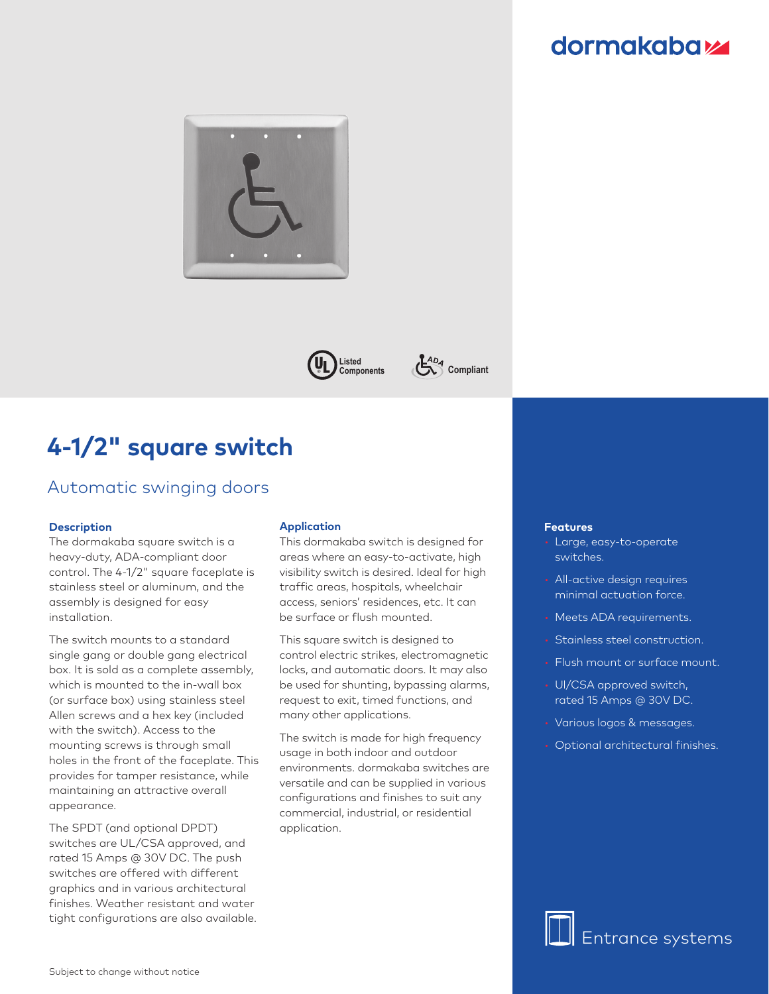## **dormakabazz**





**Compliant** 

# **4-1/2" square switch**

## Automatic swinging doors

#### **Description**

The dormakaba square switch is a heavy-duty, ADA-compliant door control. The 4-1/2" square faceplate is stainless steel or aluminum, and the assembly is designed for easy installation.

The switch mounts to a standard single gang or double gang electrical box. It is sold as a complete assembly, which is mounted to the in-wall box (or surface box) using stainless steel Allen screws and a hex key (included with the switch). Access to the mounting screws is through small holes in the front of the faceplate. This provides for tamper resistance, while maintaining an attractive overall appearance.

The SPDT (and optional DPDT) switches are UL/CSA approved, and rated 15 Amps @ 30V DC. The push switches are offered with different graphics and in various architectural finishes. Weather resistant and water tight configurations are also available.

#### **Application**

This dormakaba switch is designed for areas where an easy-to-activate, high visibility switch is desired. Ideal for high traffic areas, hospitals, wheelchair access, seniors' residences, etc. It can be surface or flush mounted.

This square switch is designed to control electric strikes, electromagnetic locks, and automatic doors. It may also be used for shunting, bypassing alarms, request to exit, timed functions, and many other applications.

The switch is made for high frequency usage in both indoor and outdoor environments. dormakaba switches are versatile and can be supplied in various configurations and finishes to suit any commercial, industrial, or residential application.

#### **Features**

- Large, easy-to-operate switches.
- All-active design requires minimal actuation force.
- Meets ADA requirements.
- Stainless steel construction.
- Flush mount or surface mount.
- Ul/CSA approved switch, rated 15 Amps @ 30V DC.
- Various logos & messages.
- Optional architectural finishes.